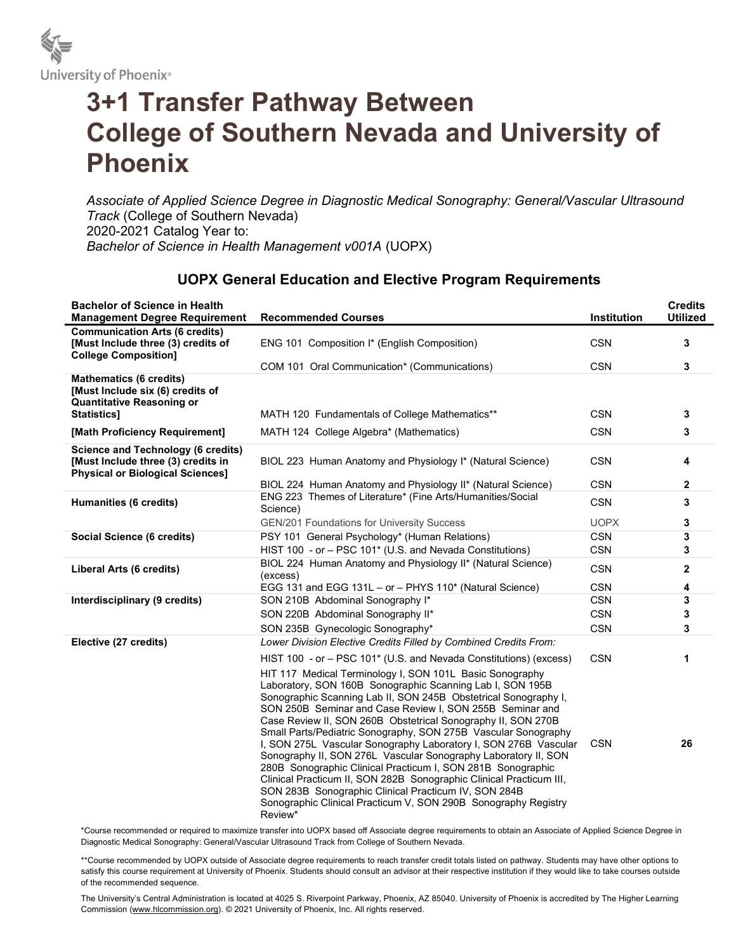

## 3+1 Transfer Pathway Between College of Southern Nevada and University of Phoenix

Associate of Applied Science Degree in Diagnostic Medical Sonography: General/Vascular Ultrasound Track (College of Southern Nevada) 2020-2021 Catalog Year to: Bachelor of Science in Health Management v001A (UOPX)

## UOPX General Education and Elective Program Requirements

| <b>Bachelor of Science in Health</b><br><b>Management Degree Requirement</b>                                               | <b>Recommended Courses</b>                                                                                                                                                                                                                                                                                                                                                                                                                                                                                                                                                                                                                                                                                                                                                                             | <b>Institution</b> | <b>Credits</b><br><b>Utilized</b> |
|----------------------------------------------------------------------------------------------------------------------------|--------------------------------------------------------------------------------------------------------------------------------------------------------------------------------------------------------------------------------------------------------------------------------------------------------------------------------------------------------------------------------------------------------------------------------------------------------------------------------------------------------------------------------------------------------------------------------------------------------------------------------------------------------------------------------------------------------------------------------------------------------------------------------------------------------|--------------------|-----------------------------------|
| <b>Communication Arts (6 credits)</b><br>[Must Include three (3) credits of<br><b>College Composition]</b>                 | ENG 101 Composition I* (English Composition)                                                                                                                                                                                                                                                                                                                                                                                                                                                                                                                                                                                                                                                                                                                                                           | <b>CSN</b>         | 3                                 |
|                                                                                                                            | COM 101 Oral Communication* (Communications)                                                                                                                                                                                                                                                                                                                                                                                                                                                                                                                                                                                                                                                                                                                                                           | <b>CSN</b>         | 3                                 |
| <b>Mathematics (6 credits)</b><br>[Must Include six (6) credits of<br><b>Quantitative Reasoning or</b><br>Statistics]      | MATH 120 Fundamentals of College Mathematics**                                                                                                                                                                                                                                                                                                                                                                                                                                                                                                                                                                                                                                                                                                                                                         | <b>CSN</b>         | 3                                 |
| [Math Proficiency Requirement]                                                                                             | MATH 124 College Algebra* (Mathematics)                                                                                                                                                                                                                                                                                                                                                                                                                                                                                                                                                                                                                                                                                                                                                                | <b>CSN</b>         | 3                                 |
|                                                                                                                            |                                                                                                                                                                                                                                                                                                                                                                                                                                                                                                                                                                                                                                                                                                                                                                                                        |                    |                                   |
| <b>Science and Technology (6 credits)</b><br>[Must Include three (3) credits in<br><b>Physical or Biological Sciences]</b> | BIOL 223 Human Anatomy and Physiology I* (Natural Science)                                                                                                                                                                                                                                                                                                                                                                                                                                                                                                                                                                                                                                                                                                                                             | <b>CSN</b>         | 4                                 |
|                                                                                                                            | BIOL 224 Human Anatomy and Physiology II* (Natural Science)                                                                                                                                                                                                                                                                                                                                                                                                                                                                                                                                                                                                                                                                                                                                            | <b>CSN</b>         | $\mathbf{2}$                      |
| Humanities (6 credits)                                                                                                     | ENG 223 Themes of Literature* (Fine Arts/Humanities/Social<br>Science)                                                                                                                                                                                                                                                                                                                                                                                                                                                                                                                                                                                                                                                                                                                                 | <b>CSN</b>         | 3                                 |
|                                                                                                                            | <b>GEN/201 Foundations for University Success</b>                                                                                                                                                                                                                                                                                                                                                                                                                                                                                                                                                                                                                                                                                                                                                      | <b>UOPX</b>        | 3                                 |
| Social Science (6 credits)                                                                                                 | PSY 101 General Psychology* (Human Relations)                                                                                                                                                                                                                                                                                                                                                                                                                                                                                                                                                                                                                                                                                                                                                          | <b>CSN</b>         | 3                                 |
|                                                                                                                            | HIST 100 - or - PSC 101* (U.S. and Nevada Constitutions)                                                                                                                                                                                                                                                                                                                                                                                                                                                                                                                                                                                                                                                                                                                                               | <b>CSN</b>         | 3                                 |
| Liberal Arts (6 credits)                                                                                                   | BIOL 224 Human Anatomy and Physiology II* (Natural Science)<br>(excess)                                                                                                                                                                                                                                                                                                                                                                                                                                                                                                                                                                                                                                                                                                                                | <b>CSN</b>         | $\mathbf{2}$                      |
|                                                                                                                            | EGG 131 and EGG 131L – or – PHYS 110* (Natural Science)                                                                                                                                                                                                                                                                                                                                                                                                                                                                                                                                                                                                                                                                                                                                                | <b>CSN</b>         | 4                                 |
| Interdisciplinary (9 credits)                                                                                              | SON 210B Abdominal Sonography I*                                                                                                                                                                                                                                                                                                                                                                                                                                                                                                                                                                                                                                                                                                                                                                       | <b>CSN</b>         | 3                                 |
|                                                                                                                            | SON 220B Abdominal Sonography II*                                                                                                                                                                                                                                                                                                                                                                                                                                                                                                                                                                                                                                                                                                                                                                      | <b>CSN</b>         | 3                                 |
|                                                                                                                            | SON 235B Gynecologic Sonography*                                                                                                                                                                                                                                                                                                                                                                                                                                                                                                                                                                                                                                                                                                                                                                       | <b>CSN</b>         | 3                                 |
| Elective (27 credits)                                                                                                      | Lower Division Elective Credits Filled by Combined Credits From:                                                                                                                                                                                                                                                                                                                                                                                                                                                                                                                                                                                                                                                                                                                                       |                    |                                   |
|                                                                                                                            | HIST 100 - or - PSC 101* (U.S. and Nevada Constitutions) (excess)                                                                                                                                                                                                                                                                                                                                                                                                                                                                                                                                                                                                                                                                                                                                      | <b>CSN</b>         | 1                                 |
|                                                                                                                            | HIT 117 Medical Terminology I, SON 101L Basic Sonography<br>Laboratory, SON 160B Sonographic Scanning Lab I, SON 195B<br>Sonographic Scanning Lab II, SON 245B Obstetrical Sonography I,<br>SON 250B Seminar and Case Review I, SON 255B Seminar and<br>Case Review II, SON 260B Obstetrical Sonography II, SON 270B<br>Small Parts/Pediatric Sonography, SON 275B Vascular Sonography<br>I, SON 275L Vascular Sonography Laboratory I, SON 276B Vascular<br>Sonography II, SON 276L Vascular Sonography Laboratory II, SON<br>280B Sonographic Clinical Practicum I, SON 281B Sonographic<br>Clinical Practicum II, SON 282B Sonographic Clinical Practicum III,<br>SON 283B Sonographic Clinical Practicum IV, SON 284B<br>Sonographic Clinical Practicum V, SON 290B Sonography Registry<br>Review* | <b>CSN</b>         | 26                                |

\*Course recommended or required to maximize transfer into UOPX based off Associate degree requirements to obtain an Associate of Applied Science Degree in Diagnostic Medical Sonography: General/Vascular Ultrasound Track from College of Southern Nevada.

\*\*Course recommended by UOPX outside of Associate degree requirements to reach transfer credit totals listed on pathway. Students may have other options to satisfy this course requirement at University of Phoenix. Students should consult an advisor at their respective institution if they would like to take courses outside of the recommended sequence.

The University's Central Administration is located at 4025 S. Riverpoint Parkway, Phoenix, AZ 85040. University of Phoenix is accredited by The Higher Learning Commission (www.hlcommission.org). © 2021 University of Phoenix, Inc. All rights reserved.